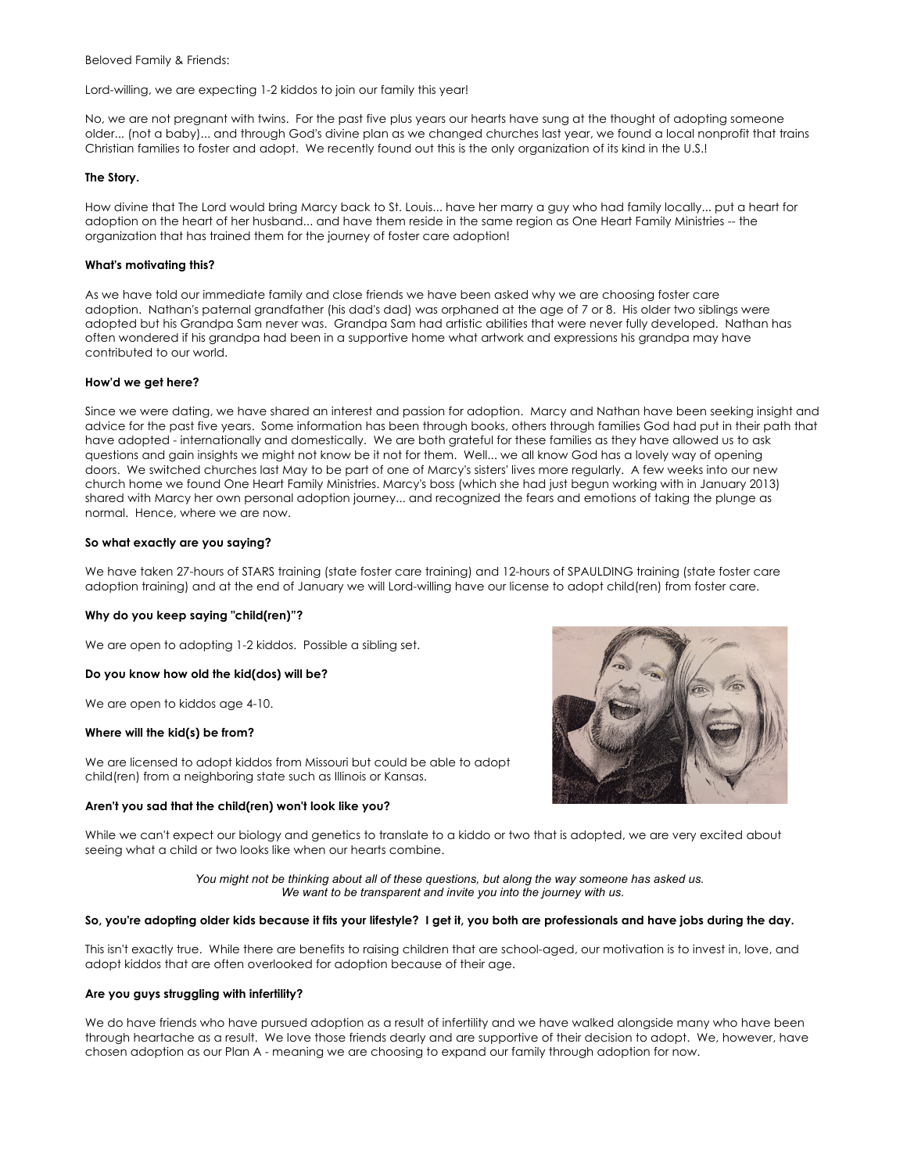Beloved Family & Friends:

Lord-willing, we are expecting 1-2 kiddos to join our family this year!

No, we are not pregnant with twins. For the past five plus years our hearts have sung at the thought of adopting someone older... (not a baby)... and through God's divine plan as we changed churches last year, we found a local nonprofit that trains Christian families to foster and adopt. We recently found out this is the only organization of its kind in the U.S.!

## **The Story.**

How divine that The Lord would bring Marcy back to St. Louis... have her marry a guy who had family locally... put a heart for adoption on the heart of her husband... and have them reside in the same region as One Heart Family Ministries -- the organization that has trained them for the journey of foster care adoption!

### **What's motivating this?**

As we have told our immediate family and close friends we have been asked why we are choosing foster care adoption. Nathan's paternal grandfather (his dad's dad) was orphaned at the age of 7 or 8. His older two siblings were adopted but his Grandpa Sam never was. Grandpa Sam had artistic abilities that were never fully developed. Nathan has often wondered if his grandpa had been in a supportive home what artwork and expressions his grandpa may have contributed to our world.

### **How'd we get here?**

Since we were dating, we have shared an interest and passion for adoption. Marcy and Nathan have been seeking insight and advice for the past five years. Some information has been through books, others through families God had put in their path that have adopted - internationally and domestically. We are both grateful for these families as they have allowed us to ask questions and gain insights we might not know be it not for them. Well... we all know God has a lovely way of opening doors. We switched churches last May to be part of one of Marcy's sisters' lives more regularly. A few weeks into our new church home we found One Heart Family Ministries. Marcy's boss (which she had just begun working with in January 2013) shared with Marcy her own personal adoption journey... and recognized the fears and emotions of taking the plunge as normal. Hence, where we are now.

# **So what exactly are you saying?**

We have taken 27-hours of STARS training (state foster care training) and 12-hours of SPAULDING training (state foster care adoption training) and at the end of January we will Lord-willing have our license to adopt child(ren) from foster care.

# **Why do you keep saying "child(ren)"?**

We are open to adopting 1-2 kiddos. Possible a sibling set.

### **Do you know how old the kid(dos) will be?**

We are open to kiddos age 4-10.

### **Where will the kid(s) be from?**

We are licensed to adopt kiddos from Missouri but could be able to adopt child(ren) from a neighboring state such as Illinois or Kansas.

### **Aren't you sad that the child(ren) won't look like you?**



While we can't expect our biology and genetics to translate to a kiddo or two that is adopted, we are very excited about seeing what a child or two looks like when our hearts combine.

> *You might not be thinking about all of these questions, but along the way someone has asked us. We want to be transparent and invite you into the journey with us.*

### **So, you're adopting older kids because it fits your lifestyle? I get it, you both are professionals and have jobs during the day.**

This isn't exactly true. While there are benefits to raising children that are school-aged, our motivation is to invest in, love, and adopt kiddos that are often overlooked for adoption because of their age.

### **Are you guys struggling with infertility?**

We do have friends who have pursued adoption as a result of infertility and we have walked alongside many who have been through heartache as a result. We love those friends dearly and are supportive of their decision to adopt. We, however, have chosen adoption as our Plan A - meaning we are choosing to expand our family through adoption for now.